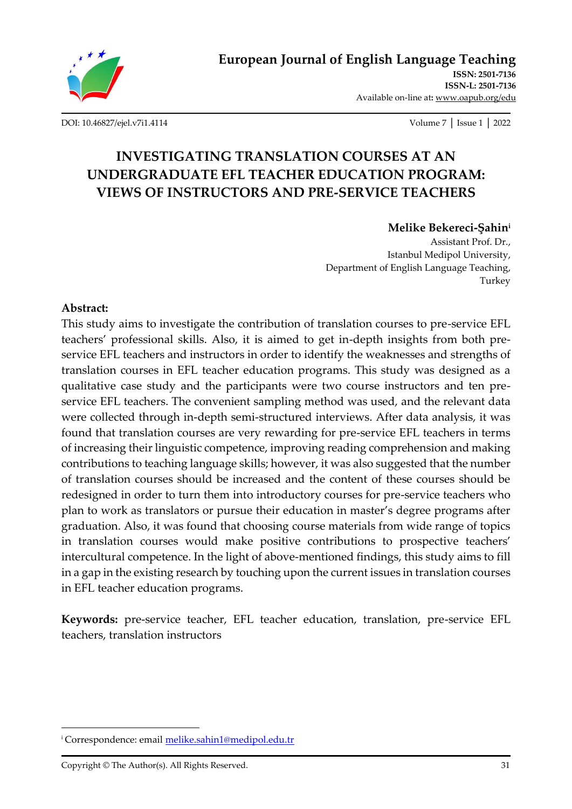

Available on-line at**:** [www.oapub.org/edu](http://www.oapub.org/edu)

[DOI: 10.46827/ejel.v7i1.4114](http://dx.doi.org/10.46827/ejel.v7i1.4114) Volume 7 │ Issue 1 │ 2022

# **INVESTIGATING TRANSLATION COURSES AT AN UNDERGRADUATE EFL TEACHER EDUCATION PROGRAM: VIEWS OF INSTRUCTORS AND PRE-SERVICE TEACHERS**

#### **Melike Bekereci-Şahin<sup>i</sup>**

Assistant Prof. Dr., Istanbul Medipol University, Department of English Language Teaching, Turkey

#### **Abstract:**

This study aims to investigate the contribution of translation courses to pre-service EFL teachers' professional skills. Also, it is aimed to get in-depth insights from both preservice EFL teachers and instructors in order to identify the weaknesses and strengths of translation courses in EFL teacher education programs. This study was designed as a qualitative case study and the participants were two course instructors and ten preservice EFL teachers. The convenient sampling method was used, and the relevant data were collected through in-depth semi-structured interviews. After data analysis, it was found that translation courses are very rewarding for pre-service EFL teachers in terms of increasing their linguistic competence, improving reading comprehension and making contributions to teaching language skills; however, it was also suggested that the number of translation courses should be increased and the content of these courses should be redesigned in order to turn them into introductory courses for pre-service teachers who plan to work as translators or pursue their education in master's degree programs after graduation. Also, it was found that choosing course materials from wide range of topics in translation courses would make positive contributions to prospective teachers' intercultural competence. In the light of above-mentioned findings, this study aims to fill in a gap in the existing research by touching upon the current issues in translation courses in EFL teacher education programs.

**Keywords:** pre-service teacher, EFL teacher education, translation, pre-service EFL teachers, translation instructors

<sup>&</sup>lt;sup>i</sup> Correspondence: email **melike.sahin1@medipol.edu.tr**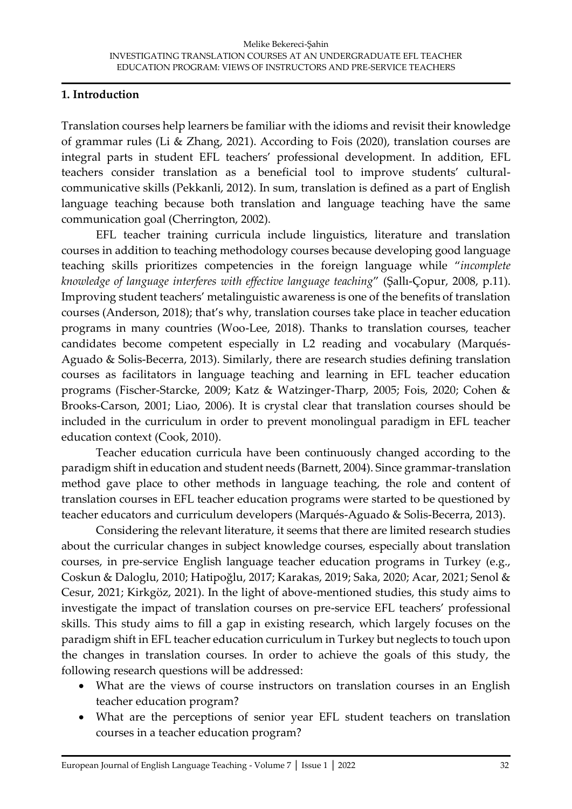# **1. Introduction**

Translation courses help learners be familiar with the idioms and revisit their knowledge of grammar rules (Li & Zhang, 2021). According to Fois (2020), translation courses are integral parts in student EFL teachers' professional development. In addition, EFL teachers consider translation as a beneficial tool to improve students' culturalcommunicative skills (Pekkanli, 2012). In sum, translation is defined as a part of English language teaching because both translation and language teaching have the same communication goal (Cherrington, 2002).

EFL teacher training curricula include linguistics, literature and translation courses in addition to teaching methodology courses because developing good language teaching skills prioritizes competencies in the foreign language while "*incomplete knowledge of language interferes with effective language teaching*" (Şallı-Çopur, 2008, p.11). Improving student teachers' metalinguistic awareness is one of the benefits of translation courses (Anderson, 2018); that's why, translation courses take place in teacher education programs in many countries (Woo-Lee, 2018). Thanks to translation courses, teacher candidates become competent especially in L2 reading and vocabulary (Marqués-Aguado & Solis-Becerra, 2013). Similarly, there are research studies defining translation courses as facilitators in language teaching and learning in EFL teacher education programs (Fischer-Starcke, 2009; Katz & Watzinger-Tharp, 2005; Fois, 2020; Cohen & Brooks-Carson, 2001; Liao, 2006). It is crystal clear that translation courses should be included in the curriculum in order to prevent monolingual paradigm in EFL teacher education context (Cook, 2010).

Teacher education curricula have been continuously changed according to the paradigm shift in education and student needs (Barnett, 2004). Since grammar-translation method gave place to other methods in language teaching, the role and content of translation courses in EFL teacher education programs were started to be questioned by teacher educators and curriculum developers (Marqués-Aguado & Solis-Becerra, 2013).

Considering the relevant literature, it seems that there are limited research studies about the curricular changes in subject knowledge courses, especially about translation courses, in pre-service English language teacher education programs in Turkey (e.g., Coskun & Daloglu, 2010; Hatipoğlu, 2017; Karakas, 2019; Saka, 2020; Acar, 2021; Senol & Cesur, 2021; Kirkgöz, 2021). In the light of above-mentioned studies, this study aims to investigate the impact of translation courses on pre-service EFL teachers' professional skills. This study aims to fill a gap in existing research, which largely focuses on the paradigm shift in EFL teacher education curriculum in Turkey but neglects to touch upon the changes in translation courses. In order to achieve the goals of this study, the following research questions will be addressed:

- What are the views of course instructors on translation courses in an English teacher education program?
- What are the perceptions of senior year EFL student teachers on translation courses in a teacher education program?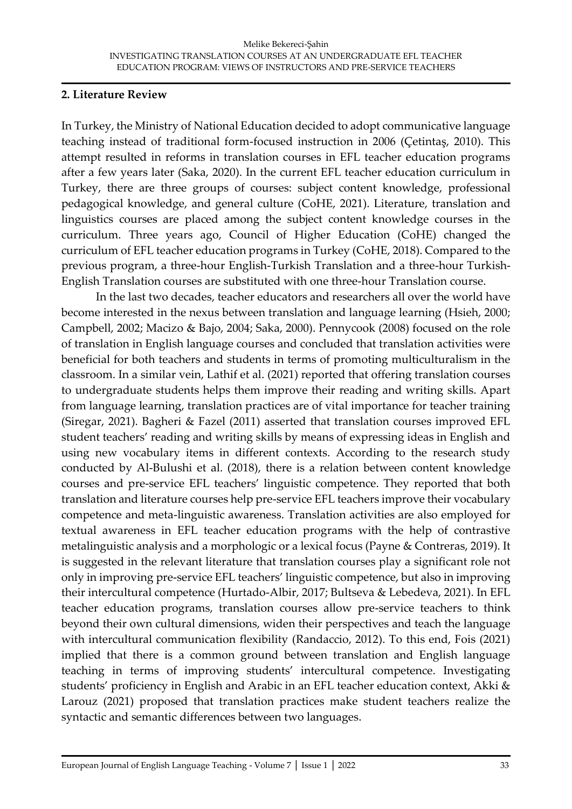#### **2. Literature Review**

In Turkey, the Ministry of National Education decided to adopt communicative language teaching instead of traditional form-focused instruction in 2006 (Çetintaş, 2010). This attempt resulted in reforms in translation courses in EFL teacher education programs after a few years later (Saka, 2020). In the current EFL teacher education curriculum in Turkey, there are three groups of courses: subject content knowledge, professional pedagogical knowledge, and general culture (CoHE, 2021). Literature, translation and linguistics courses are placed among the subject content knowledge courses in the curriculum. Three years ago, Council of Higher Education (CoHE) changed the curriculum of EFL teacher education programs in Turkey (CoHE, 2018). Compared to the previous program, a three-hour English-Turkish Translation and a three-hour Turkish-English Translation courses are substituted with one three-hour Translation course.

In the last two decades, teacher educators and researchers all over the world have become interested in the nexus between translation and language learning (Hsieh, 2000; Campbell, 2002; Macizo & Bajo, 2004; Saka, 2000). Pennycook (2008) focused on the role of translation in English language courses and concluded that translation activities were beneficial for both teachers and students in terms of promoting multiculturalism in the classroom. In a similar vein, Lathif et al. (2021) reported that offering translation courses to undergraduate students helps them improve their reading and writing skills. Apart from language learning, translation practices are of vital importance for teacher training (Siregar, 2021). Bagheri & Fazel (2011) asserted that translation courses improved EFL student teachers' reading and writing skills by means of expressing ideas in English and using new vocabulary items in different contexts. According to the research study conducted by Al-Bulushi et al. (2018), there is a relation between content knowledge courses and pre-service EFL teachers' linguistic competence. They reported that both translation and literature courses help pre-service EFL teachers improve their vocabulary competence and meta-linguistic awareness. Translation activities are also employed for textual awareness in EFL teacher education programs with the help of contrastive metalinguistic analysis and a morphologic or a lexical focus (Payne & Contreras, 2019). It is suggested in the relevant literature that translation courses play a significant role not only in improving pre-service EFL teachers' linguistic competence, but also in improving their intercultural competence (Hurtado-Albir, 2017; Bultseva & Lebedeva, 2021). In EFL teacher education programs, translation courses allow pre-service teachers to think beyond their own cultural dimensions, widen their perspectives and teach the language with intercultural communication flexibility (Randaccio, 2012). To this end, Fois (2021) implied that there is a common ground between translation and English language teaching in terms of improving students' intercultural competence. Investigating students' proficiency in English and Arabic in an EFL teacher education context, Akki & Larouz (2021) proposed that translation practices make student teachers realize the syntactic and semantic differences between two languages.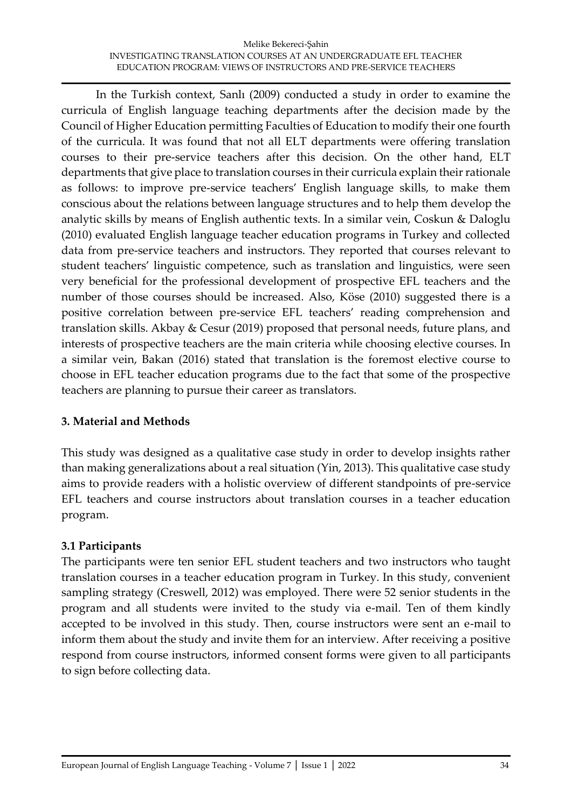In the Turkish context, Sanlı (2009) conducted a study in order to examine the curricula of English language teaching departments after the decision made by the Council of Higher Education permitting Faculties of Education to modify their one fourth of the curricula. It was found that not all ELT departments were offering translation courses to their pre-service teachers after this decision. On the other hand, ELT departments that give place to translation courses in their curricula explain their rationale as follows: to improve pre-service teachers' English language skills, to make them conscious about the relations between language structures and to help them develop the analytic skills by means of English authentic texts. In a similar vein, Coskun & Daloglu (2010) evaluated English language teacher education programs in Turkey and collected data from pre-service teachers and instructors. They reported that courses relevant to student teachers' linguistic competence, such as translation and linguistics, were seen very beneficial for the professional development of prospective EFL teachers and the number of those courses should be increased. Also, Köse (2010) suggested there is a positive correlation between pre-service EFL teachers' reading comprehension and translation skills. Akbay & Cesur (2019) proposed that personal needs, future plans, and interests of prospective teachers are the main criteria while choosing elective courses. In a similar vein, Bakan (2016) stated that translation is the foremost elective course to choose in EFL teacher education programs due to the fact that some of the prospective teachers are planning to pursue their career as translators.

# **3. Material and Methods**

This study was designed as a qualitative case study in order to develop insights rather than making generalizations about a real situation (Yin, 2013). This qualitative case study aims to provide readers with a holistic overview of different standpoints of pre-service EFL teachers and course instructors about translation courses in a teacher education program.

# **3.1 Participants**

The participants were ten senior EFL student teachers and two instructors who taught translation courses in a teacher education program in Turkey. In this study, convenient sampling strategy (Creswell, 2012) was employed. There were 52 senior students in the program and all students were invited to the study via e-mail. Ten of them kindly accepted to be involved in this study. Then, course instructors were sent an e-mail to inform them about the study and invite them for an interview. After receiving a positive respond from course instructors, informed consent forms were given to all participants to sign before collecting data.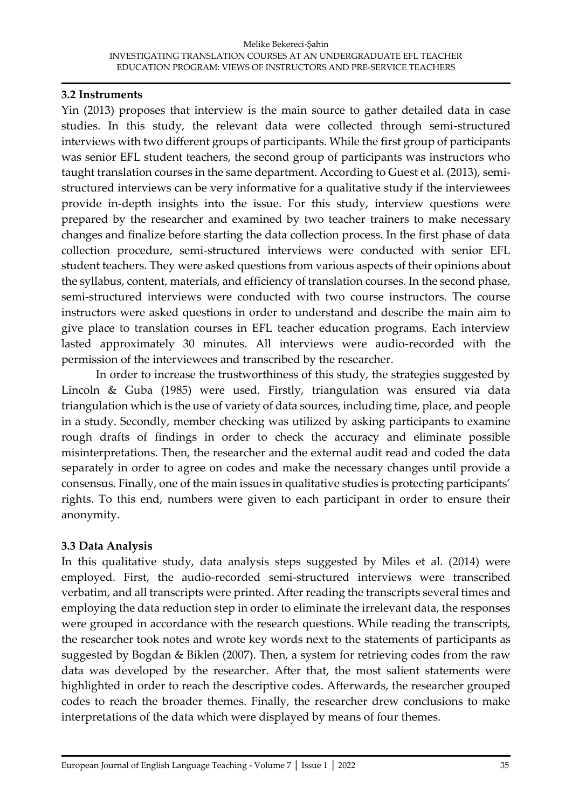#### **3.2 Instruments**

Yin (2013) proposes that interview is the main source to gather detailed data in case studies. In this study, the relevant data were collected through semi-structured interviews with two different groups of participants. While the first group of participants was senior EFL student teachers, the second group of participants was instructors who taught translation courses in the same department. According to Guest et al. (2013), semistructured interviews can be very informative for a qualitative study if the interviewees provide in-depth insights into the issue. For this study, interview questions were prepared by the researcher and examined by two teacher trainers to make necessary changes and finalize before starting the data collection process. In the first phase of data collection procedure, semi-structured interviews were conducted with senior EFL student teachers. They were asked questions from various aspects of their opinions about the syllabus, content, materials, and efficiency of translation courses. In the second phase, semi-structured interviews were conducted with two course instructors. The course instructors were asked questions in order to understand and describe the main aim to give place to translation courses in EFL teacher education programs. Each interview lasted approximately 30 minutes. All interviews were audio-recorded with the permission of the interviewees and transcribed by the researcher.

In order to increase the trustworthiness of this study, the strategies suggested by Lincoln & Guba (1985) were used. Firstly, triangulation was ensured via data triangulation which is the use of variety of data sources, including time, place, and people in a study. Secondly, member checking was utilized by asking participants to examine rough drafts of findings in order to check the accuracy and eliminate possible misinterpretations. Then, the researcher and the external audit read and coded the data separately in order to agree on codes and make the necessary changes until provide a consensus. Finally, one of the main issues in qualitative studies is protecting participants' rights. To this end, numbers were given to each participant in order to ensure their anonymity.

# **3.3 Data Analysis**

In this qualitative study, data analysis steps suggested by Miles et al. (2014) were employed. First, the audio-recorded semi-structured interviews were transcribed verbatim, and all transcripts were printed. After reading the transcripts several times and employing the data reduction step in order to eliminate the irrelevant data, the responses were grouped in accordance with the research questions. While reading the transcripts, the researcher took notes and wrote key words next to the statements of participants as suggested by Bogdan & Biklen (2007). Then, a system for retrieving codes from the raw data was developed by the researcher. After that, the most salient statements were highlighted in order to reach the descriptive codes. Afterwards, the researcher grouped codes to reach the broader themes. Finally, the researcher drew conclusions to make interpretations of the data which were displayed by means of four themes.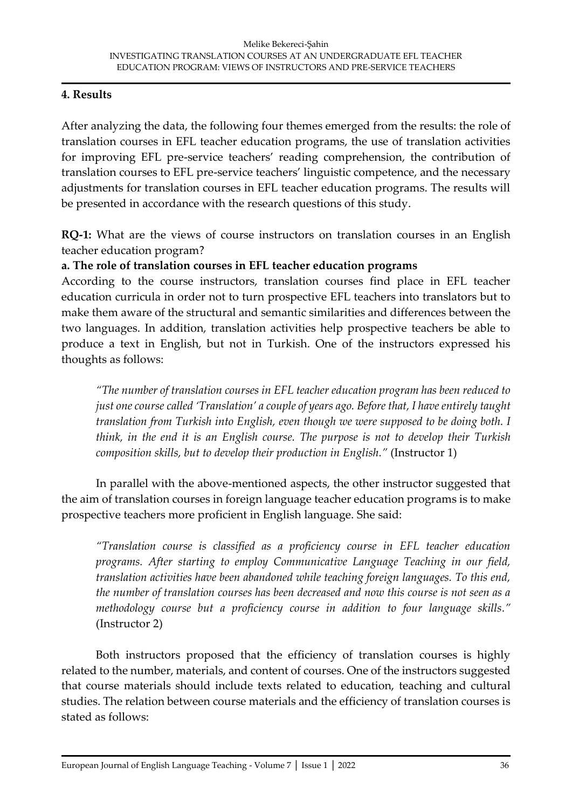# **4. Results**

After analyzing the data, the following four themes emerged from the results: the role of translation courses in EFL teacher education programs, the use of translation activities for improving EFL pre-service teachers' reading comprehension, the contribution of translation courses to EFL pre-service teachers' linguistic competence, and the necessary adjustments for translation courses in EFL teacher education programs. The results will be presented in accordance with the research questions of this study.

**RQ-1:** What are the views of course instructors on translation courses in an English teacher education program?

# **a. The role of translation courses in EFL teacher education programs**

According to the course instructors, translation courses find place in EFL teacher education curricula in order not to turn prospective EFL teachers into translators but to make them aware of the structural and semantic similarities and differences between the two languages. In addition, translation activities help prospective teachers be able to produce a text in English, but not in Turkish. One of the instructors expressed his thoughts as follows:

*"The number of translation courses in EFL teacher education program has been reduced to just one course called 'Translation' a couple of years ago. Before that, I have entirely taught translation from Turkish into English, even though we were supposed to be doing both. I think, in the end it is an English course. The purpose is not to develop their Turkish composition skills, but to develop their production in English."* (Instructor 1)

In parallel with the above-mentioned aspects, the other instructor suggested that the aim of translation courses in foreign language teacher education programs is to make prospective teachers more proficient in English language. She said:

*"Translation course is classified as a proficiency course in EFL teacher education programs. After starting to employ Communicative Language Teaching in our field, translation activities have been abandoned while teaching foreign languages. To this end, the number of translation courses has been decreased and now this course is not seen as a methodology course but a proficiency course in addition to four language skills."* (Instructor 2)

Both instructors proposed that the efficiency of translation courses is highly related to the number, materials, and content of courses. One of the instructors suggested that course materials should include texts related to education, teaching and cultural studies. The relation between course materials and the efficiency of translation courses is stated as follows: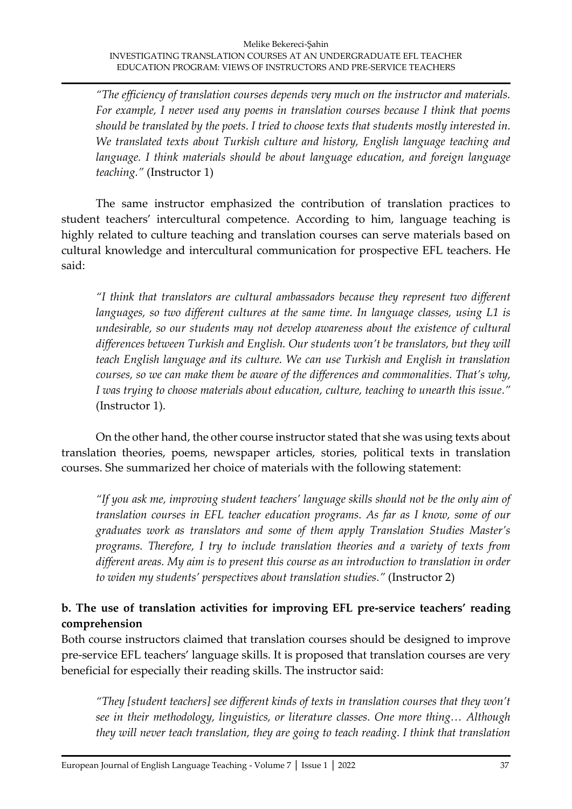*"The efficiency of translation courses depends very much on the instructor and materials. For example, I never used any poems in translation courses because I think that poems should be translated by the poets. I tried to choose texts that students mostly interested in. We translated texts about Turkish culture and history, English language teaching and language. I think materials should be about language education, and foreign language teaching."* (Instructor 1)

The same instructor emphasized the contribution of translation practices to student teachers' intercultural competence. According to him, language teaching is highly related to culture teaching and translation courses can serve materials based on cultural knowledge and intercultural communication for prospective EFL teachers. He said:

*"I think that translators are cultural ambassadors because they represent two different languages, so two different cultures at the same time. In language classes, using L1 is undesirable, so our students may not develop awareness about the existence of cultural differences between Turkish and English. Our students won't be translators, but they will teach English language and its culture. We can use Turkish and English in translation courses, so we can make them be aware of the differences and commonalities. That's why, I was trying to choose materials about education, culture, teaching to unearth this issue."* (Instructor 1).

On the other hand, the other course instructor stated that she was using texts about translation theories, poems, newspaper articles, stories, political texts in translation courses. She summarized her choice of materials with the following statement:

*"If you ask me, improving student teachers' language skills should not be the only aim of translation courses in EFL teacher education programs. As far as I know, some of our graduates work as translators and some of them apply Translation Studies Master's programs. Therefore, I try to include translation theories and a variety of texts from different areas. My aim is to present this course as an introduction to translation in order to widen my students' perspectives about translation studies."* (Instructor 2)

# **b. The use of translation activities for improving EFL pre-service teachers' reading comprehension**

Both course instructors claimed that translation courses should be designed to improve pre-service EFL teachers' language skills. It is proposed that translation courses are very beneficial for especially their reading skills. The instructor said:

*"They [student teachers] see different kinds of texts in translation courses that they won't see in their methodology, linguistics, or literature classes. One more thing… Although they will never teach translation, they are going to teach reading. I think that translation*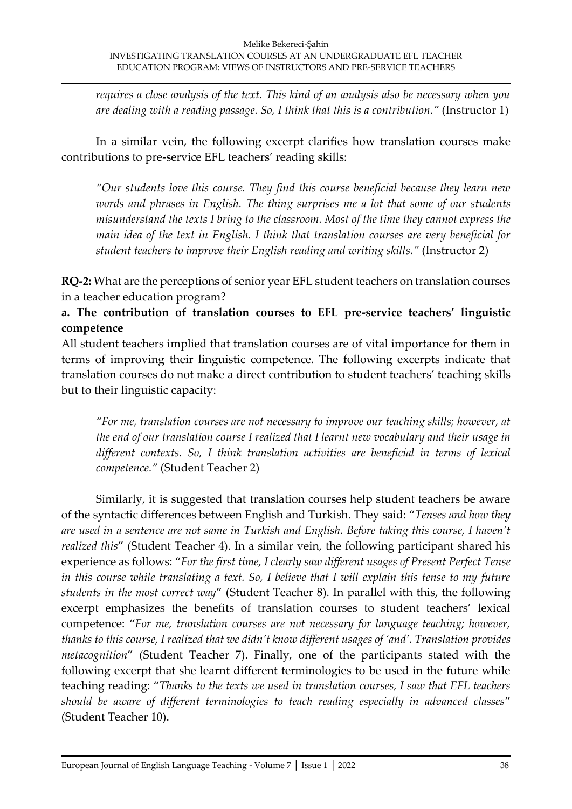*requires a close analysis of the text. This kind of an analysis also be necessary when you are dealing with a reading passage. So, I think that this is a contribution."* (Instructor 1)

In a similar vein, the following excerpt clarifies how translation courses make contributions to pre-service EFL teachers' reading skills:

*"Our students love this course. They find this course beneficial because they learn new words and phrases in English. The thing surprises me a lot that some of our students misunderstand the texts I bring to the classroom. Most of the time they cannot express the main idea of the text in English. I think that translation courses are very beneficial for student teachers to improve their English reading and writing skills."* (Instructor 2)

**RQ-2:** What are the perceptions of senior year EFL student teachers on translation courses in a teacher education program?

# **a. The contribution of translation courses to EFL pre-service teachers' linguistic competence**

All student teachers implied that translation courses are of vital importance for them in terms of improving their linguistic competence. The following excerpts indicate that translation courses do not make a direct contribution to student teachers' teaching skills but to their linguistic capacity:

*"For me, translation courses are not necessary to improve our teaching skills; however, at the end of our translation course I realized that I learnt new vocabulary and their usage in different contexts. So, I think translation activities are beneficial in terms of lexical competence."* (Student Teacher 2)

Similarly, it is suggested that translation courses help student teachers be aware of the syntactic differences between English and Turkish. They said: "*Tenses and how they are used in a sentence are not same in Turkish and English. Before taking this course, I haven't realized this*" (Student Teacher 4). In a similar vein, the following participant shared his experience as follows: "*For the first time, I clearly saw different usages of Present Perfect Tense in this course while translating a text. So, I believe that I will explain this tense to my future students in the most correct way*" (Student Teacher 8). In parallel with this, the following excerpt emphasizes the benefits of translation courses to student teachers' lexical competence: "*For me, translation courses are not necessary for language teaching; however, thanks to this course, I realized that we didn't know different usages of 'and'. Translation provides metacognition*" (Student Teacher 7). Finally, one of the participants stated with the following excerpt that she learnt different terminologies to be used in the future while teaching reading: "*Thanks to the texts we used in translation courses, I saw that EFL teachers should be aware of different terminologies to teach reading especially in advanced classes*" (Student Teacher 10).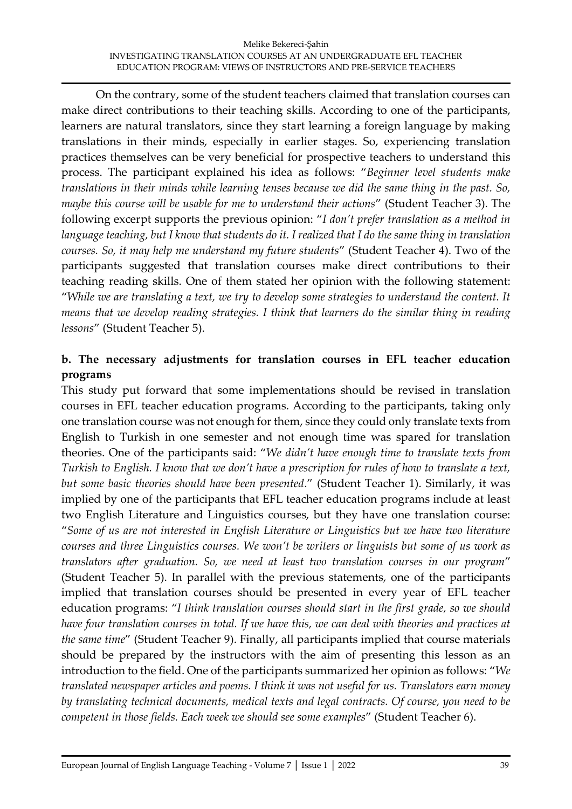On the contrary, some of the student teachers claimed that translation courses can make direct contributions to their teaching skills. According to one of the participants, learners are natural translators, since they start learning a foreign language by making translations in their minds, especially in earlier stages. So, experiencing translation practices themselves can be very beneficial for prospective teachers to understand this process. The participant explained his idea as follows: "*Beginner level students make translations in their minds while learning tenses because we did the same thing in the past. So, maybe this course will be usable for me to understand their actions*" (Student Teacher 3). The following excerpt supports the previous opinion: "*I don't prefer translation as a method in language teaching, but I know that students do it. I realized that I do the same thing in translation courses. So, it may help me understand my future students*" (Student Teacher 4). Two of the participants suggested that translation courses make direct contributions to their teaching reading skills. One of them stated her opinion with the following statement: "*While we are translating a text, we try to develop some strategies to understand the content. It means that we develop reading strategies. I think that learners do the similar thing in reading lessons*" (Student Teacher 5).

# **b. The necessary adjustments for translation courses in EFL teacher education programs**

This study put forward that some implementations should be revised in translation courses in EFL teacher education programs. According to the participants, taking only one translation course was not enough for them, since they could only translate texts from English to Turkish in one semester and not enough time was spared for translation theories. One of the participants said: "*We didn't have enough time to translate texts from Turkish to English. I know that we don't have a prescription for rules of how to translate a text, but some basic theories should have been presented*." (Student Teacher 1). Similarly, it was implied by one of the participants that EFL teacher education programs include at least two English Literature and Linguistics courses, but they have one translation course: "*Some of us are not interested in English Literature or Linguistics but we have two literature courses and three Linguistics courses. We won't be writers or linguists but some of us work as translators after graduation. So, we need at least two translation courses in our program*" (Student Teacher 5). In parallel with the previous statements, one of the participants implied that translation courses should be presented in every year of EFL teacher education programs: "*I think translation courses should start in the first grade, so we should have four translation courses in total. If we have this, we can deal with theories and practices at the same time*" (Student Teacher 9). Finally, all participants implied that course materials should be prepared by the instructors with the aim of presenting this lesson as an introduction to the field. One of the participants summarized her opinion as follows: "*We translated newspaper articles and poems. I think it was not useful for us. Translators earn money by translating technical documents, medical texts and legal contracts. Of course, you need to be competent in those fields. Each week we should see some examples*" (Student Teacher 6).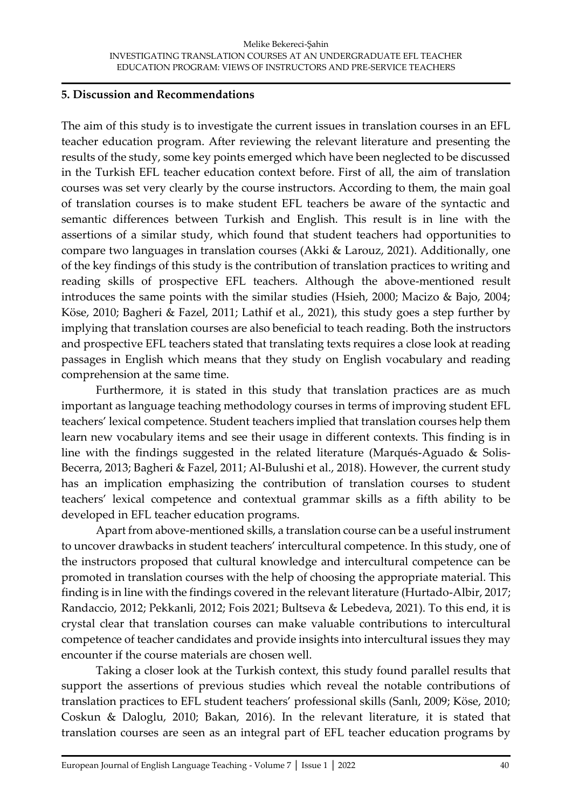#### **5. Discussion and Recommendations**

The aim of this study is to investigate the current issues in translation courses in an EFL teacher education program. After reviewing the relevant literature and presenting the results of the study, some key points emerged which have been neglected to be discussed in the Turkish EFL teacher education context before. First of all, the aim of translation courses was set very clearly by the course instructors. According to them, the main goal of translation courses is to make student EFL teachers be aware of the syntactic and semantic differences between Turkish and English. This result is in line with the assertions of a similar study, which found that student teachers had opportunities to compare two languages in translation courses (Akki & Larouz, 2021). Additionally, one of the key findings of this study is the contribution of translation practices to writing and reading skills of prospective EFL teachers. Although the above-mentioned result introduces the same points with the similar studies (Hsieh, 2000; Macizo & Bajo, 2004; Köse, 2010; Bagheri & Fazel, 2011; Lathif et al., 2021), this study goes a step further by implying that translation courses are also beneficial to teach reading. Both the instructors and prospective EFL teachers stated that translating texts requires a close look at reading passages in English which means that they study on English vocabulary and reading comprehension at the same time.

Furthermore, it is stated in this study that translation practices are as much important as language teaching methodology courses in terms of improving student EFL teachers' lexical competence. Student teachers implied that translation courses help them learn new vocabulary items and see their usage in different contexts. This finding is in line with the findings suggested in the related literature (Marqués-Aguado & Solis-Becerra, 2013; Bagheri & Fazel, 2011; Al-Bulushi et al., 2018). However, the current study has an implication emphasizing the contribution of translation courses to student teachers' lexical competence and contextual grammar skills as a fifth ability to be developed in EFL teacher education programs.

Apart from above-mentioned skills, a translation course can be a useful instrument to uncover drawbacks in student teachers' intercultural competence. In this study, one of the instructors proposed that cultural knowledge and intercultural competence can be promoted in translation courses with the help of choosing the appropriate material. This finding is in line with the findings covered in the relevant literature (Hurtado-Albir, 2017; Randaccio, 2012; Pekkanli, 2012; Fois 2021; Bultseva & Lebedeva, 2021). To this end, it is crystal clear that translation courses can make valuable contributions to intercultural competence of teacher candidates and provide insights into intercultural issues they may encounter if the course materials are chosen well.

Taking a closer look at the Turkish context, this study found parallel results that support the assertions of previous studies which reveal the notable contributions of translation practices to EFL student teachers' professional skills (Sanlı, 2009; Köse, 2010; Coskun & Daloglu, 2010; Bakan, 2016). In the relevant literature, it is stated that translation courses are seen as an integral part of EFL teacher education programs by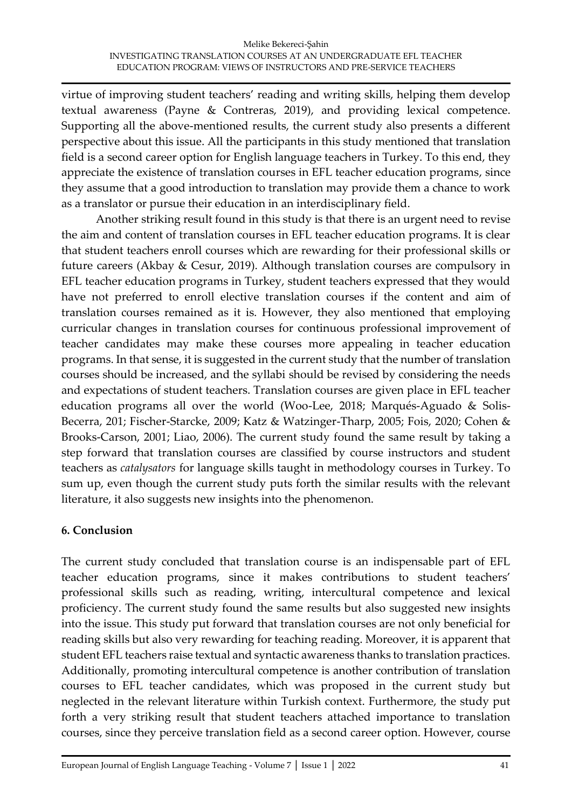virtue of improving student teachers' reading and writing skills, helping them develop textual awareness (Payne & Contreras, 2019), and providing lexical competence. Supporting all the above-mentioned results, the current study also presents a different perspective about this issue. All the participants in this study mentioned that translation field is a second career option for English language teachers in Turkey. To this end, they appreciate the existence of translation courses in EFL teacher education programs, since they assume that a good introduction to translation may provide them a chance to work as a translator or pursue their education in an interdisciplinary field.

Another striking result found in this study is that there is an urgent need to revise the aim and content of translation courses in EFL teacher education programs. It is clear that student teachers enroll courses which are rewarding for their professional skills or future careers (Akbay & Cesur, 2019). Although translation courses are compulsory in EFL teacher education programs in Turkey, student teachers expressed that they would have not preferred to enroll elective translation courses if the content and aim of translation courses remained as it is. However, they also mentioned that employing curricular changes in translation courses for continuous professional improvement of teacher candidates may make these courses more appealing in teacher education programs. In that sense, it is suggested in the current study that the number of translation courses should be increased, and the syllabi should be revised by considering the needs and expectations of student teachers. Translation courses are given place in EFL teacher education programs all over the world (Woo-Lee, 2018; Marqués-Aguado & Solis-Becerra, 201; Fischer-Starcke, 2009; Katz & Watzinger-Tharp, 2005; Fois, 2020; Cohen & Brooks-Carson, 2001; Liao, 2006). The current study found the same result by taking a step forward that translation courses are classified by course instructors and student teachers as *catalysators* for language skills taught in methodology courses in Turkey. To sum up, even though the current study puts forth the similar results with the relevant literature, it also suggests new insights into the phenomenon.

# **6. Conclusion**

The current study concluded that translation course is an indispensable part of EFL teacher education programs, since it makes contributions to student teachers' professional skills such as reading, writing, intercultural competence and lexical proficiency. The current study found the same results but also suggested new insights into the issue. This study put forward that translation courses are not only beneficial for reading skills but also very rewarding for teaching reading. Moreover, it is apparent that student EFL teachers raise textual and syntactic awareness thanks to translation practices. Additionally, promoting intercultural competence is another contribution of translation courses to EFL teacher candidates, which was proposed in the current study but neglected in the relevant literature within Turkish context. Furthermore, the study put forth a very striking result that student teachers attached importance to translation courses, since they perceive translation field as a second career option. However, course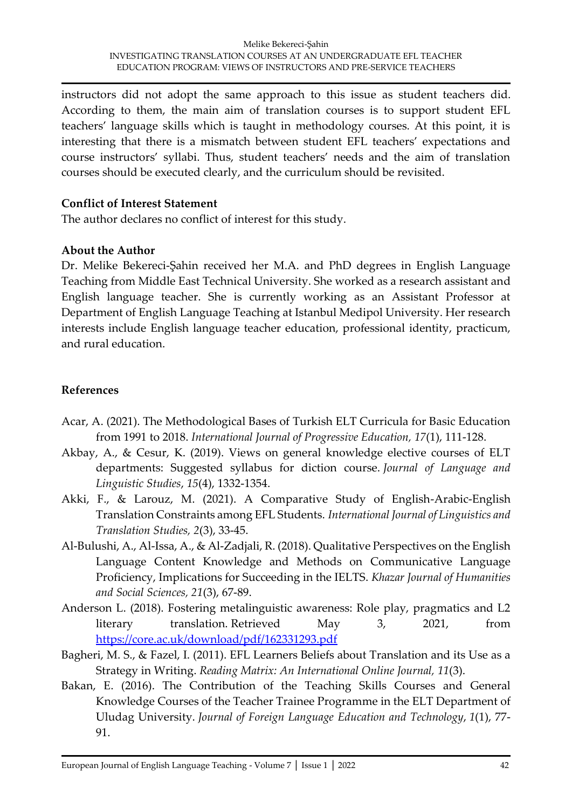instructors did not adopt the same approach to this issue as student teachers did. According to them, the main aim of translation courses is to support student EFL teachers' language skills which is taught in methodology courses. At this point, it is interesting that there is a mismatch between student EFL teachers' expectations and course instructors' syllabi. Thus, student teachers' needs and the aim of translation courses should be executed clearly, and the curriculum should be revisited.

# **Conflict of Interest Statement**

The author declares no conflict of interest for this study.

#### **About the Author**

Dr. Melike Bekereci-Şahin received her M.A. and PhD degrees in English Language Teaching from Middle East Technical University. She worked as a research assistant and English language teacher. She is currently working as an Assistant Professor at Department of English Language Teaching at Istanbul Medipol University. Her research interests include English language teacher education, professional identity, practicum, and rural education.

# **References**

- Acar, A. (2021). The Methodological Bases of Turkish ELT Curricula for Basic Education from 1991 to 2018. *International Journal of Progressive Education, 17*(1), 111-128.
- Akbay, A., & Cesur, K. (2019). Views on general knowledge elective courses of ELT departments: Suggested syllabus for diction course. *Journal of Language and Linguistic Studies*, *15*(4), 1332-1354.
- Akki, F., & Larouz, M. (2021). A Comparative Study of English-Arabic-English Translation Constraints among EFL Students. *International Journal of Linguistics and Translation Studies, 2*(3), 33-45.
- Al-Bulushi, A., Al-Issa, A., & Al-Zadjali, R. (2018). Qualitative Perspectives on the English Language Content Knowledge and Methods on Communicative Language Proficiency, Implications for Succeeding in the IELTS. *Khazar Journal of Humanities and Social Sciences, 21*(3), 67-89.
- Anderson L. (2018). Fostering metalinguistic awareness: Role play, pragmatics and L2 literary translation. Retrieved May 3, 2021, from <https://core.ac.uk/download/pdf/162331293.pdf>
- Bagheri, M. S., & Fazel, I. (2011). EFL Learners Beliefs about Translation and its Use as a Strategy in Writing. *Reading Matrix: An International Online Journal, 11*(3).
- Bakan, E. (2016). The Contribution of the Teaching Skills Courses and General Knowledge Courses of the Teacher Trainee Programme in the ELT Department of Uludag University. *Journal of Foreign Language Education and Technology*, *1*(1), 77- 91.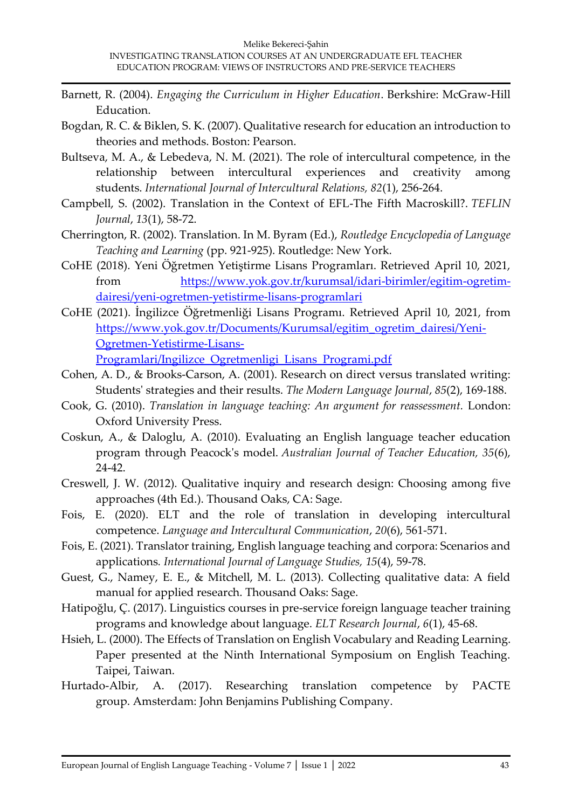- Barnett, R. (2004). *Engaging the Curriculum in Higher Education*. Berkshire: McGraw-Hill Education.
- Bogdan, R. C. & Biklen, S. K. (2007). Qualitative research for education an introduction to theories and methods. Boston: Pearson.
- Bultseva, M. A., & Lebedeva, N. M. (2021). The role of intercultural competence, in the relationship between intercultural experiences and creativity among students. *International Journal of Intercultural Relations, 82*(1), 256-264.
- Campbell, S. (2002). Translation in the Context of EFL-The Fifth Macroskill?. *TEFLIN Journal*, *13*(1), 58-72.
- Cherrington, R. (2002). Translation. In M. Byram (Ed.), *Routledge Encyclopedia of Language Teaching and Learning* (pp. 921-925). Routledge: New York.
- CoHE (2018). Yeni Öğretmen Yetiştirme Lisans Programları. Retrieved April 10, 2021, from [https://www.yok.gov.tr/kurumsal/idari-birimler/egitim-ogretim](https://www.yok.gov.tr/kurumsal/idari-birimler/egitim-ogretim-dairesi/yeni-ogretmen-yetistirme-lisans-programlari)[dairesi/yeni-ogretmen-yetistirme-lisans-programlari](https://www.yok.gov.tr/kurumsal/idari-birimler/egitim-ogretim-dairesi/yeni-ogretmen-yetistirme-lisans-programlari)
- CoHE (2021). İngilizce Öğretmenliği Lisans Programı. Retrieved April 10, 2021, from [https://www.yok.gov.tr/Documents/Kurumsal/egitim\\_ogretim\\_dairesi/Yeni-](https://www.yok.gov.tr/Documents/Kurumsal/egitim_ogretim_dairesi/Yeni-Ogretmen-Yetistirme-Lisans-Programlari/Ingilizce_Ogretmenligi_Lisans_Programi.pdf)[Ogretmen-Yetistirme-Lisans-](https://www.yok.gov.tr/Documents/Kurumsal/egitim_ogretim_dairesi/Yeni-Ogretmen-Yetistirme-Lisans-Programlari/Ingilizce_Ogretmenligi_Lisans_Programi.pdf)[Programlari/Ingilizce\\_Ogretmenligi\\_Lisans\\_Programi.pdf](https://www.yok.gov.tr/Documents/Kurumsal/egitim_ogretim_dairesi/Yeni-Ogretmen-Yetistirme-Lisans-Programlari/Ingilizce_Ogretmenligi_Lisans_Programi.pdf)
- Cohen, A. D., & Brooks‐Carson, A. (2001). Research on direct versus translated writing: Students' strategies and their results. *The Modern Language Journal*, *85*(2), 169-188.
- Cook, G. (2010). *Translation in language teaching: An argument for reassessment.* London: Oxford University Press.
- Coskun, A., & Daloglu, A. (2010). Evaluating an English language teacher education program through Peacock's model. *Australian Journal of Teacher Education, 35*(6), 24-42.
- Creswell, J. W. (2012). Qualitative inquiry and research design: Choosing among five approaches (4th Ed.). Thousand Oaks, CA: Sage.
- Fois, E. (2020). ELT and the role of translation in developing intercultural competence. *Language and Intercultural Communication*, *20*(6), 561-571.
- Fois, E. (2021). Translator training, English language teaching and corpora: Scenarios and applications*. International Journal of Language Studies, 15*(4), 59-78.
- Guest, G., Namey, E. E., & Mitchell, M. L. (2013). Collecting qualitative data: A field manual for applied research. Thousand Oaks: Sage.
- Hatipoğlu, Ç. (2017). Linguistics courses in pre-service foreign language teacher training programs and knowledge about language. *ELT Research Journal*, *6*(1), 45-68.
- Hsieh, L. (2000). The Effects of Translation on English Vocabulary and Reading Learning. Paper presented at the Ninth International Symposium on English Teaching. Taipei, Taiwan.
- Hurtado-Albir, A. (2017). Researching translation competence by PACTE group. Amsterdam: John Benjamins Publishing Company.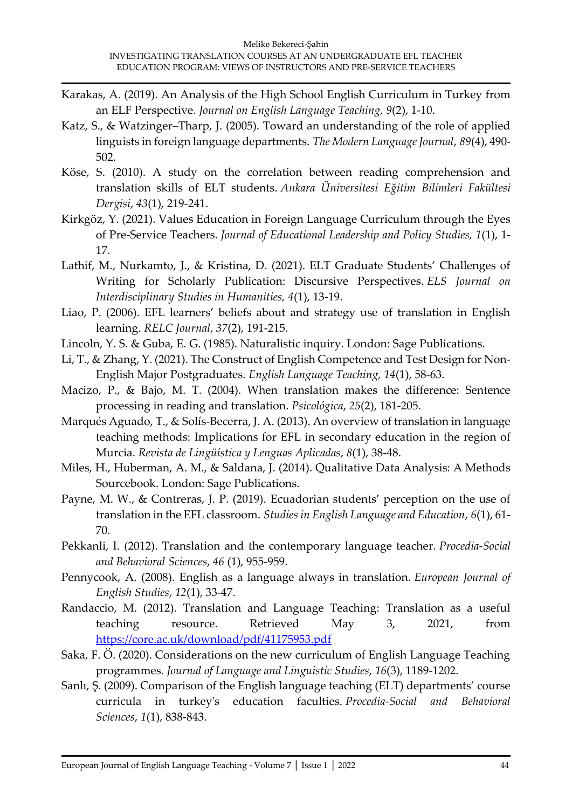- Karakas, A. (2019). An Analysis of the High School English Curriculum in Turkey from an ELF Perspective. *Journal on English Language Teaching, 9*(2), 1-10.
- Katz, S., & Watzinger–Tharp, J. (2005). Toward an understanding of the role of applied linguists in foreign language departments. *The Modern Language Journal*, *89*(4), 490- 502.
- Köse, S. (2010). A study on the correlation between reading comprehension and translation skills of ELT students. *Ankara Üniversitesi Eğitim Bilimleri Fakültesi Dergisi*, *43*(1), 219-241.
- Kirkgöz, Y. (2021). Values Education in Foreign Language Curriculum through the Eyes of Pre-Service Teachers. *Journal of Educational Leadership and Policy Studies, 1*(1), 1- 17.
- Lathif, M., Nurkamto, J., & Kristina, D. (2021). ELT Graduate Students' Challenges of Writing for Scholarly Publication: Discursive Perspectives. *ELS Journal on Interdisciplinary Studies in Humanities, 4*(1), 13-19.
- Liao, P. (2006). EFL learners' beliefs about and strategy use of translation in English learning. *RELC Journal*, *37*(2), 191-215.
- Lincoln, Y. S. & Guba, E. G. (1985). Naturalistic inquiry. London: Sage Publications.
- Li, T., & Zhang, Y. (2021). The Construct of English Competence and Test Design for Non-English Major Postgraduates. *English Language Teaching, 14*(1), 58-63.
- Macizo, P., & Bajo, M. T. (2004). When translation makes the difference: Sentence processing in reading and translation. *Psicológica*, *25*(2), 181-205.
- Marqués Aguado, T., & Solís-Becerra, J. A. (2013). An overview of translation in language teaching methods: Implications for EFL in secondary education in the region of Murcia. *Revista de Lingüística y Lenguas Aplicadas*, *8*(1), 38-48.
- Miles, H., Huberman, A. M., & Saldana, J. (2014). Qualitative Data Analysis: A Methods Sourcebook. London: Sage Publications.
- Payne, M. W., & Contreras, J. P. (2019). Ecuadorian students' perception on the use of translation in the EFL classroom. *Studies in English Language and Education*, *6*(1), 61- 70.
- Pekkanli, I. (2012). Translation and the contemporary language teacher. *Procedia-Social and Behavioral Sciences*, *46* (1), 955-959.
- Pennycook, A. (2008). English as a language always in translation. *European Journal of English Studies*, *12*(1), 33-47.
- Randaccio, M. (2012). Translation and Language Teaching: Translation as a useful teaching resource. Retrieved May 3, 2021, from <https://core.ac.uk/download/pdf/41175953.pdf>
- Saka, F. Ö. (2020). Considerations on the new curriculum of English Language Teaching programmes. *Journal of Language and Linguistic Studies*, *16*(3), 1189-1202.
- Sanlı, Ş. (2009). Comparison of the English language teaching (ELT) departments' course curricula in turkey's education faculties. *Procedia-Social and Behavioral Sciences*, *1*(1), 838-843.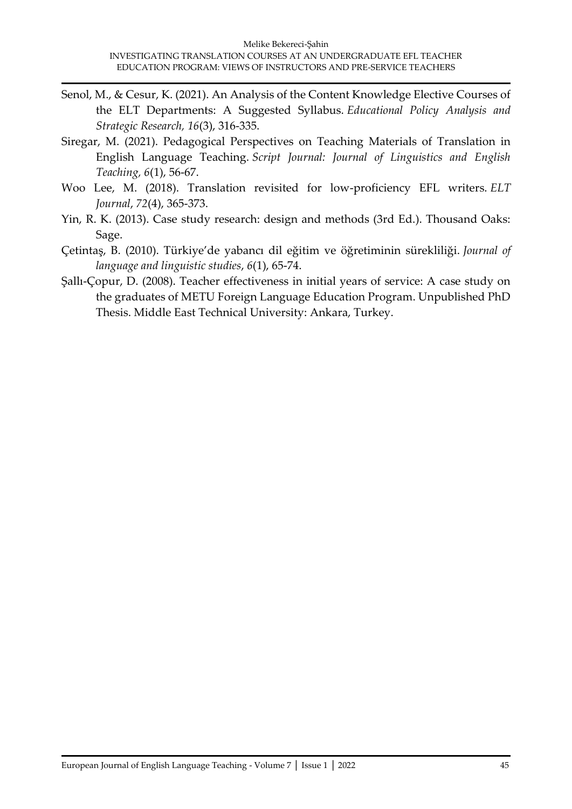- Senol, M., & Cesur, K. (2021). An Analysis of the Content Knowledge Elective Courses of the ELT Departments: A Suggested Syllabus. *Educational Policy Analysis and Strategic Research, 16*(3), 316-335.
- Siregar, M. (2021). Pedagogical Perspectives on Teaching Materials of Translation in English Language Teaching. *Script Journal: Journal of Linguistics and English Teaching, 6*(1), 56-67.
- Woo Lee, M. (2018). Translation revisited for low-proficiency EFL writers. *ELT Journal*, *72*(4), 365-373.
- Yin, R. K. (2013). Case study research: design and methods (3rd Ed.). Thousand Oaks: Sage.
- Çetintaş, B. (2010). Türkiye'de yabancı dil eğitim ve öğretiminin sürekliliği. *Journal of language and linguistic studies*, *6*(1), 65-74.
- Şallı-Çopur, D. (2008). Teacher effectiveness in initial years of service: A case study on the graduates of METU Foreign Language Education Program. Unpublished PhD Thesis. Middle East Technical University: Ankara, Turkey.